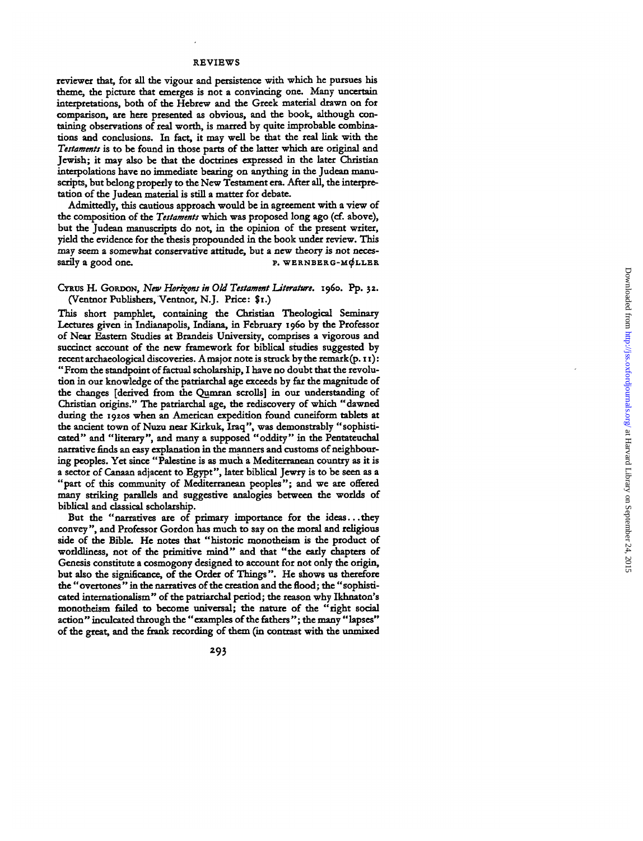## **REVIEW S**

reviewer that, for all the vigour and persistence with which he pursues his theme, the picture that emerges is not a convincing one. Many uncertain interpretations, both of the Hebrew and the Greek material drawn on for **comparison , are here presente d as obvious , an d di e book , althoug h con tainin g observation s o f real worth , i s marred b y quite improbabl e combina tions and conclusions . I n fact , i t may wel l b e that th e real lin k wit h th e** *Testaments* is to be found in those parts of the latter which are original and **Jewish ; i t may als o b e that th e doctrine s expresse d i n th e late r Christian** interpolations have no immediate bearing on anything in the Judean manu**scripts , bu t belon g properl y t o th e Ne w Testamen t era . Afte r all , th e interpre**  tation of the Judean material is still a matter for debate.

Admittedly, this cautious approach would be in agreement with a view of the composition of the *Testaments* which was proposed long ago (cf. above), but the Judean manuscripts do not, in the opinion of the present writer, **yiel d th e evidenc e fo r th e thesi s propounde d i n th e boo k unde r review . Thi s** may seem a somewhat conservative attitude, but a new theory is not neces**sarily a goo d one . p . WERNBERG-M^LLB R**

## **CYRUS H . GORDON ,** *New Horizons in Old Testament Literature,* **i960 . Pp . 32 (Ventno r Publishers , Ventnor , N.J . Price : \$1. )**

**Thi s short pamphlet , containin g th e Christian Theologica l Seminary** Lectures given in Indianapolis, Indiana, in February 1960 by the Professor of Near Eastern Studies at Brandeis University, comprises a vigorous and succinct account of the new framework for biblical studies suggested by **recent archaeological discoveries. A major note is struck by the remark(p. 11):** "From the standpoint of factual scholarship, I have no doubt that the revolu**tion** in our knowledge of the patriarchal age exceeds by far the magnitude of the changes [derived from the Qumran scrolls] in our understanding of **Christian origins. " Th e patriarchal age , th e rediscovery o f whic h "dawne d** during the 1920s when an American expedition found cuneiform tablets at the ancient town of Nuzu near Kirkuk, Iraq", was demonstrably "sophisti**cated " an d "literary" , and many a suppose d "oddity " i n th e Pentateuchal narrative finds an easy explanation in the manners and customs of neighbourin g peoples . Ye t sinc e "Palestin e i s as muc h a Mediterranean country as i t i s a** sector of Canaan adjacent to Egypt", later biblical Jewry is to be seen as a **"part o f thi s community o f Mediterranean peoples" ; and w e are offered many** striking parallels and suggestive analogies between the worlds of **biblical and classical scholarship .**

But the "narratives are of primary importance for the ideas...they **convey" , an d Professo r Gordo n has muc h t o say o n th e moral and religiou s** side of the Bible. He notes that "historic monotheism is the product of worldliness, not of the primitive mind" and that "the early chapters of Genesis constitute a cosmogony designed to account for not only the origin, **bu t als o th e significance , o f th e Orde r o f Things" . H e show s u s therefore th e " overtone s " i n th e narratives o f th e creatio n an d th e flood; th e " sophisti cate d internationalism " o f th e patriarchal period ; th e reaso n wh y Ikhnaton' s** monotheism failed to become universal; the nature of the "right social **action " inculcate d throug h th e "example s o f th e fathers" ; th e many "lapses "** of the great, and the frank recording of them (in contrast with the unmixed